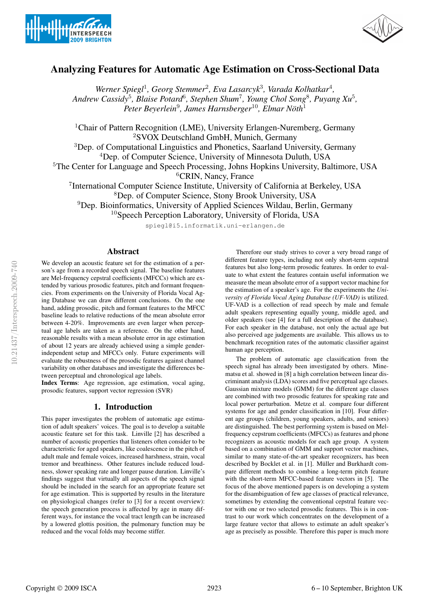



# Analyzing Features for Automatic Age Estimation on Cross-Sectional Data

Werner Spiegl<sup>1</sup>, Georg Stemmer<sup>2</sup>, Eva Lasarcyk<sup>3</sup>, Varada Kolhatkar<sup>4</sup>, *Andrew Cassidy*<sup>5</sup> *, Blaise Potard*<sup>6</sup> *, Stephen Shum*<sup>7</sup> *, Young Chol Song*<sup>8</sup> *, Puyang Xu*<sup>5</sup> *, Peter Beyerlein*<sup>9</sup> *, James Harnsberger*<sup>10</sup>*, Elmar Noth ¨* 1

<sup>1</sup>Chair of Pattern Recognition (LME), University Erlangen-Nuremberg, Germany <sup>2</sup>SVOX Deutschland GmbH, Munich, Germany

<sup>3</sup>Dep. of Computational Linguistics and Phonetics, Saarland University, Germany <sup>4</sup>Dep. of Computer Science, University of Minnesota Duluth, USA

<sup>5</sup>The Center for Language and Speech Processing, Johns Hopkins University, Baltimore, USA

<sup>6</sup>CRIN, Nancy, France

7 International Computer Science Institute, University of California at Berkeley, USA

<sup>8</sup>Dep. of Computer Science, Stony Brook University, USA

<sup>9</sup>Dep. Bioinformatics, University of Applied Sciences Wildau, Berlin, Germany

 $10$ Speech Perception Laboratory, University of Florida, USA

spiegl@i5.informatik.uni-erlangen.de

# Abstract

We develop an acoustic feature set for the estimation of a person's age from a recorded speech signal. The baseline features are Mel-frequency cepstral coefficients (MFCCs) which are extended by various prosodic features, pitch and formant frequencies. From experiments on the University of Florida Vocal Aging Database we can draw different conclusions. On the one hand, adding prosodic, pitch and formant features to the MFCC baseline leads to relative reductions of the mean absolute error between 4-20%. Improvements are even larger when perceptual age labels are taken as a reference. On the other hand, reasonable results with a mean absolute error in age estimation of about 12 years are already achieved using a simple genderindependent setup and MFCCs only. Future experiments will evaluate the robustness of the prosodic features against channel variability on other databases and investigate the differences between perceptual and chronological age labels.

Index Terms: Age regression, age estimation, vocal aging, prosodic features, support vector regression (SVR)

# 1. Introduction

This paper investigates the problem of automatic age estimation of adult speakers' voices. The goal is to develop a suitable acoustic feature set for this task. Linville [2] has described a number of acoustic properties that listeners often consider to be characteristic for aged speakers, like coalescence in the pitch of adult male and female voices, increased harshness, strain, vocal tremor and breathiness. Other features include reduced loudness, slower speaking rate and longer pause duration. Linville's findings suggest that virtually all aspects of the speech signal should be included in the search for an appropriate feature set for age estimation. This is supported by results in the literature on physiological changes (refer to [3] for a recent overview): the speech generation process is affected by age in many different ways, for instance the vocal tract length can be increased by a lowered glottis position, the pulmonary function may be reduced and the vocal folds may become stiffer.

Therefore our study strives to cover a very broad range of different feature types, including not only short-term cepstral features but also long-term prosodic features. In order to evaluate to what extent the features contain useful information we measure the mean absolute error of a support vector machine for the estimation of a speaker's age. For the experiments the *University of Florida Vocal Aging Database (UF-VAD)* is utilized. UF-VAD is a collection of read speech by male and female adult speakers representing equally young, middle aged, and older speakers (see [4] for a full description of the database). For each speaker in the database, not only the actual age but also perceived age judgements are available. This allows us to benchmark recognition rates of the automatic classifier against human age perception.

The problem of automatic age classification from the speech signal has already been investigated by others. Minematsu et al. showed in [8] a high correlation between linear discriminant analysis (LDA) scores and five perceptual age classes. Gaussian mixture models (GMM) for the different age classes are combined with two prosodic features for speaking rate and local power perturbation. Metze et al. compare four different systems for age and gender classification in [10]. Four different age groups (children, young speakers, adults, and seniors) are distinguished. The best performing system is based on Melfrequency cepstrum coefficients (MFCCs) as features and phone recognizers as acoustic models for each age group. A system based on a combination of GMM and support vector machines, similar to many state-of-the-art speaker recognizers, has been described by Bocklet et al. in [1]. Müller and Burkhardt compare different methods to combine a long-term pitch feature with the short-term MFCC-based feature vectors in [5]. The focus of the above mentioned papers is on developing a system for the disambiguation of few age classes of practical relevance, sometimes by extending the conventional cepstral feature vector with one or two selected prosodic features. This is in contrast to our work which concentrates on the development of a large feature vector that allows to estimate an adult speaker's age as precisely as possible. Therefore this paper is much more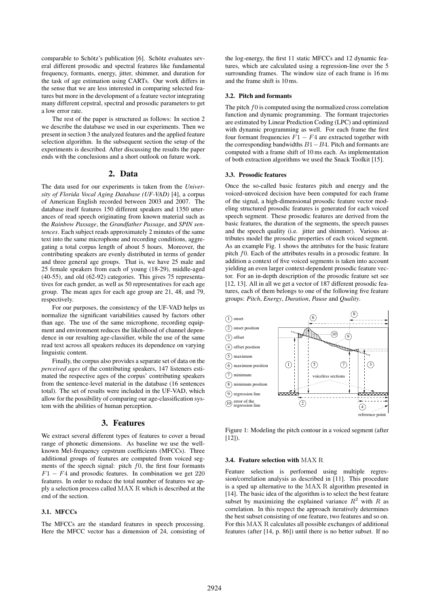comparable to Schötz's publication [6]. Schötz evaluates several different prosodic and spectral features like fundamental frequency, formants, energy, jitter, shimmer, and duration for the task of age estimation using CARTs. Our work differs in the sense that we are less interested in comparing selected features but more in the development of a feature vector integrating many different cepstral, spectral and prosodic parameters to get a low error rate.

The rest of the paper is structured as follows: In section 2 we describe the database we used in our experiments. Then we present in section 3 the analyzed features and the applied feature selection algorithm. In the subsequent section the setup of the experiments is described. After discussing the results the paper ends with the conclusions and a short outlook on future work.

# 2. Data

The data used for our experiments is taken from the *University of Florida Vocal Aging Database (UF-VAD)* [4], a corpus of American English recorded between 2003 and 2007. The database itself features 150 different speakers and 1350 utterances of read speech originating from known material such as the *Rainbow Passage*, the *Grandfather Passage*, and *SPIN sentences*. Each subject reads approximately 2 minutes of the same text into the same microphone and recording conditions, aggregating a total corpus length of about 5 hours. Moreover, the contributing speakers are evenly distributed in terms of gender and three general age groups. That is, we have 25 male and 25 female speakers from each of young (18-29), middle-aged (40-55), and old (62-92) categories. This gives 75 representatives for each gender, as well as 50 representatives for each age group. The mean ages for each age group are 21, 48, and 79, respectively.

For our purposes, the consistency of the UF-VAD helps us normalize the significant variabilities caused by factors other than age. The use of the same microphone, recording equipment and environment reduces the likelihood of channel dependence in our resulting age-classifier, while the use of the same read text across all speakers reduces its dependence on varying linguistic content.

Finally, the corpus also provides a separate set of data on the *perceived ages* of the contributing speakers, 147 listeners estimated the respective ages of the corpus' contributing speakers from the sentence-level material in the database (16 sentences total). The set of results were included in the UF-VAD, which allow for the possibility of comparing our age-classification system with the abilities of human perception.

# 3. Features

We extract several different types of features to cover a broad range of phonetic dimensions. As baseline we use the wellknown Mel-frequency cepstrum coefficients (MFCCs). Three additional groups of features are computed from voiced segments of the speech signal: pitch  $f0$ , the first four formants  $F1 - F4$  and prosodic features. In combination we get 220 features. In order to reduce the total number of features we apply a selection process called MAX R which is described at the end of the section.

## 3.1. MFCCs

The MFCCs are the standard features in speech processing. Here the MFCC vector has a dimension of 24, consisting of the log-energy, the first 11 static MFCCs and 12 dynamic features, which are calculated using a regression-line over the 5 surrounding frames. The window size of each frame is 16 ms and the frame shift is 10 ms.

### 3.2. Pitch and formants

The pitch  $f0$  is computed using the normalized cross correlation function and dynamic programming. The formant trajectories are estimated by Linear Prediction Coding (LPC) and optimized with dynamic programming as well. For each frame the first four formant frequencies  $F1 - F4$  are extracted together with the corresponding bandwidths  $B1-B4$ . Pitch and formants are computed with a frame shift of 10 ms each. As implementation of both extraction algorithms we used the Snack Toolkit [15].

#### 3.3. Prosodic features

Once the so-called basic features pitch and energy and the voiced-unvoiced decision have been computed for each frame of the signal, a high-dimensional prosodic feature vector modeling structured prosodic features is generated for each voiced speech segment. These prosodic features are derived from the basic features, the duration of the segments, the speech pauses and the speech quality (i.e. jitter and shimmer). Various attributes model the prosodic properties of each voiced segment. As an example Fig. 1 shows the attributes for the basic feature pitch f0. Each of the attributes results in a prosodic feature. In addition a context of five voiced segments is taken into account yielding an even larger context-dependent prosodic feature vector. For an in-depth description of the prosodic feature set see [12, 13]. All in all we get a vector of 187 different prosodic features, each of them belongs to one of the following five feature groups: *Pitch*, *Energy*, *Duration*, *Pause* and *Quality*.



Figure 1: Modeling the pitch contour in a voiced segment (after  $[12]$ ).

### 3.4. Feature selection with MAX R

Feature selection is performed using multiple regression/correlation analysis as described in [11]. This procedure is a sped up alternative to the MAX R algorithm presented in [14]. The basic idea of the algorithm is to select the best feature subset by maximizing the explained variance  $R^2$  with R as correlation. In this respect the approach iteratively determines the best subset consisting of one feature, two features and so on. For this MAX R calculates all possible exchanges of additional features (after [14, p. 86]) until there is no better subset. If no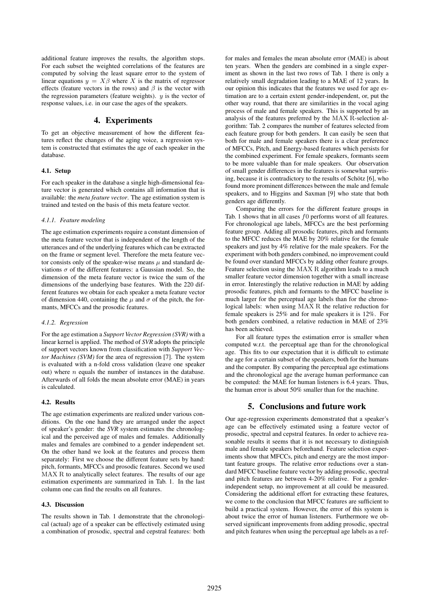additional feature improves the results, the algorithm stops. For each subset the weighted correlations of the features are computed by solving the least square error to the system of linear equations  $y = X\beta$  where X is the matrix of regressor effects (feature vectors in the rows) and  $\beta$  is the vector with the regression parameters (feature weights).  $y$  is the vector of response values, i.e. in our case the ages of the speakers.

# 4. Experiments

To get an objective measurement of how the different features reflect the changes of the aging voice, a regression system is constructed that estimates the age of each speaker in the database.

### 4.1. Setup

For each speaker in the database a single high-dimensional feature vector is generated which contains all information that is available: the *meta feature vector*. The age estimation system is trained and tested on the basis of this meta feature vector.

### *4.1.1. Feature modeling*

The age estimation experiments require a constant dimension of the meta feature vector that is independent of the length of the utterances and of the underlying features which can be extracted on the frame or segment level. Therefore the meta feature vector consists only of the speaker-wise means  $\mu$  and standard deviations  $\sigma$  of the different features: a Gaussian model. So, the dimension of the meta feature vector is twice the sum of the dimensions of the underlying base features. With the 220 different features we obtain for each speaker a meta feature vector of dimension 440, containing the  $\mu$  and  $\sigma$  of the pitch, the formants, MFCCs and the prosodic features.

### *4.1.2. Regression*

For the age estimation a *Support Vector Regression (SVR)* with a linear kernel is applied. The method of *SVR* adopts the principle of support vectors known from classification with *Support Vector Machines (SVM)* for the area of regression [7]. The system is evaluated with a n-fold cross validation (leave one speaker out) where  $n$  equals the number of instances in the database. Afterwards of all folds the mean absolute error (MAE) in years is calculated.

### 4.2. Results

The age estimation experiments are realized under various conditions. On the one hand they are arranged under the aspect of speaker's gender: the *SVR* system estimates the chronological and the perceived age of males and females. Additionally males and females are combined to a gender independent set. On the other hand we look at the features and process them separately: First we choose the different feature sets by hand: pitch, formants, MFCCs and prosodic features. Second we used MAX R to analytically select features. The results of our age estimation experiments are summarized in Tab. 1. In the last column one can find the results on all features.

### 4.3. Discussion

The results shown in Tab. 1 demonstrate that the chronological (actual) age of a speaker can be effectively estimated using a combination of prosodic, spectral and cepstral features: both for males and females the mean absolute error (MAE) is about ten years. When the genders are combined in a single experiment as shown in the last two rows of Tab. 1 there is only a relatively small degradation leading to a MAE of 12 years. In our opinion this indicates that the features we used for age estimation are to a certain extent gender-independent, or, put the other way round, that there are similarities in the vocal aging process of male and female speakers. This is supported by an analysis of the features preferred by the MAX R-selection algorithm: Tab. 2 compares the number of features selected from each feature group for both genders. It can easily be seen that both for male and female speakers there is a clear preference of MFCCs, Pitch, and Energy-based features which persists for the combined experiment. For female speakers, formants seem to be more valuable than for male speakers. Our observation of small gender differences in the features is somewhat surprising, because it is contradictory to the results of Schötz  $[6]$ , who found more prominent differences between the male and female speakers, and to Higgins and Saxman [9] who state that both genders age differently.

Comparing the errors for the different feature groups in Tab. 1 shows that in all cases  $f0$  performs worst of all features. For chronological age labels, MFCCs are the best performing feature group. Adding all prosodic features, pitch and formants to the MFCC reduces the MAE by 20% relative for the female speakers and just by 4% relative for the male speakers. For the experiment with both genders combined, no improvement could be found over standard MFCCs by adding other feature groups. Feature selection using the MAX R algorithm leads to a much smaller feature vector dimension together with a small increase in error. Interestingly the relative reduction in MAE by adding prosodic features, pitch and formants to the MFCC baseline is much larger for the perceptual age labels than for the chronological labels: when using MAX R the relative reduction for female speakers is 25% and for male speakers it is 12%. For both genders combined, a relative reduction in MAE of 23% has been achieved.

For all feature types the estimation error is smaller when computed w.r.t. the perceptual age than for the chronological age. This fits to our expectation that it is difficult to estimate the age for a certain subset of the speakers, both for the humans and the computer. By comparing the perceptual age estimations and the chronological age the average human performance can be computed: the MAE for human listeners is 6.4 years. Thus, the human error is about 50% smaller than for the machine.

# 5. Conclusions and future work

Our age-regression experiments demonstrated that a speaker's age can be effectively estimated using a feature vector of prosodic, spectral and cepstral features. In order to achieve reasonable results it seems that it is not necessary to distinguish male and female speakers beforehand. Feature selection experiments show that MFCCs, pitch and energy are the most important feature groups. The relative error reductions over a standard MFCC baseline feature vector by adding prosodic, spectral and pitch features are between 4-20% relative. For a genderindependent setup, no improvement at all could be measured. Considering the additional effort for extracting these features, we come to the conclusion that MFCC features are sufficient to build a practical system. However, the error of this system is about twice the error of human listeners. Furthermore we observed significant improvements from adding prosodic, spectral and pitch features when using the perceptual age labels as a ref-